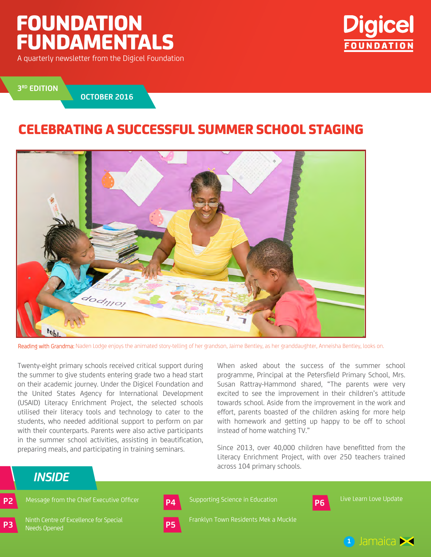# Foundation Fundamentals

A quarterly newsletter from the Digicel Foundation



**3 RD EDition**

**OCTOBER 2016**

### CELEBRATING A SUCCESSFUL SUMMER SCHOOL STAGING



Reading with Grandma: Naden Lodge enjoys the animated story-telling of her grandson, Jaime Bentley, as her granddaughter, Anneisha Bentley, looks on.

Twenty-eight primary schools received critical support during the summer to give students entering grade two a head start on their academic journey. Under the Digicel Foundation and the United States Agency for International Development (USAID) Literacy Enrichment Project, the selected schools utilised their literacy tools and technology to cater to the students, who needed additional support to perform on par with their counterparts. Parents were also active participants in the summer school activities, assisting in beautification, preparing meals, and participating in training seminars.

When asked about the success of the summer school programme, Principal at the Petersfield Primary School, Mrs. Susan Rattray-Hammond shared, "The parents were very excited to see the improvement in their children's attitude towards school. Aside from the improvement in the work and effort, parents boasted of the children asking for more help with homework and getting up happy to be off to school instead of home watching TV."

Since 2013, over 40,000 children have benefitted from the Literacy Enrichment Project, with over 250 teachers trained across 104 primary schools.

**P6**

#### *inside*

**P3**

Ninth Centre of Excellence for Special Needs Opened



**P2** Message from the Chief Executive Officer **P4** Supporting Science in Education **P6** Live Learn Love Update Supporting Science in Education

Franklyn Town Residents Mek a Muckle

**1** Jamaica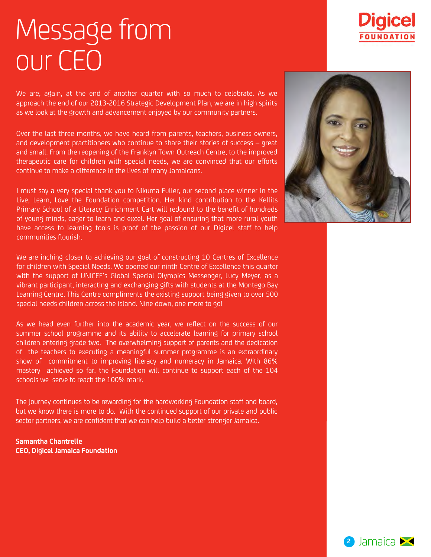# Message from our CEO

We are, again, at the end of another quarter with so much to celebrate. As we approach the end of our 2013-2016 Strategic Development Plan, we are in high spirits as we look at the growth and advancement enjoyed by our community partners.

Over the last three months, we have heard from parents, teachers, business owners, and development practitioners who continue to share their stories of success – great and small. From the reopening of the Franklyn Town Outreach Centre, to the improved therapeutic care for children with special needs, we are convinced that our efforts continue to make a difference in the lives of many Jamaicans.

I must say a very special thank you to Nikuma Fuller, our second place winner in the Live, Learn, Love the Foundation competition. Her kind contribution to the Kellits Primary School of a Literacy Enrichment Cart will redound to the benefit of hundreds of young minds, eager to learn and excel. Her goal of ensuring that more rural youth have access to learning tools is proof of the passion of our Digicel staff to help communities flourish.

We are inching closer to achieving our goal of constructing 10 Centres of Excellence for children with Special Needs. We opened our ninth Centre of Excellence this quarter with the support of UNICEF's Global Special Olympics Messenger, Lucy Meyer, as a vibrant participant, interacting and exchanging gifts with students at the Montego Bay Learning Centre. This Centre compliments the existing support being given to over 500 special needs children across the island. Nine down, one more to go!

As we head even further into the academic year, we reflect on the success of our summer school programme and its ability to accelerate learning for primary school children entering grade two. The overwhelming support of parents and the dedication of the teachers to executing a meaningful summer programme is an extraordinary show of commitment to improving literacy and numeracy in Jamaica. With 86% mastery achieved so far, the Foundation will continue to support each of the 104 schools we serve to reach the 100% mark.

The journey continues to be rewarding for the hardworking Foundation staff and board, but we know there is more to do. With the continued support of our private and public sector partners, we are confident that we can help build a better stronger Jamaica.

**Samantha Chantrelle CEO, Digicel Jamaica Foundation**





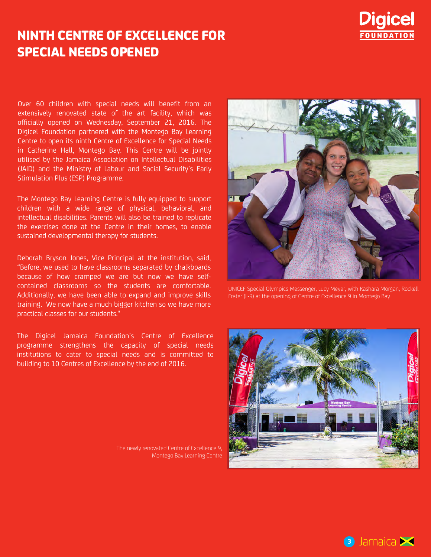

## NINTH CENTRE OF EXCELLENCE FOR SPECIAL NEEDS OPENED

Over 60 children with special needs will benefit from an extensively renovated state of the art facility, which was officially opened on Wednesday, September 21, 2016. The Digicel Foundation partnered with the Montego Bay Learning Centre to open its ninth Centre of Excellence for Special Needs in Catherine Hall, Montego Bay. This Centre will be jointly utilised by the Jamaica Association on Intellectual Disabilities (JAID) and the Ministry of Labour and Social Security's Early Stimulation Plus (ESP) Programme.

The Montego Bay Learning Centre is fully equipped to support children with a wide range of physical, behavioral, and intellectual disabilities. Parents will also be trained to replicate the exercises done at the Centre in their homes, to enable sustained developmental therapy for students.

Deborah Bryson Jones, Vice Principal at the institution, said, "Before, we used to have classrooms separated by chalkboards because of how cramped we are but now we have selfcontained classrooms so the students are comfortable. Additionally, we have been able to expand and improve skills training. We now have a much bigger kitchen so we have more practical classes for our students."

The Digicel Jamaica Foundation's Centre of Excellence programme strengthens the capacity of special needs institutions to cater to special needs and is committed to building to 10 Centres of Excellence by the end of 2016.

The newly renovated Centre of Excellence 9, Montego Bay Learning Centre



UNICEF Special Olympics Messenger, Lucy Meyer, with Kashara Morgan, Rockell Frater (L-R) at the opening of Centre of Excellence 9 in Montego Bay



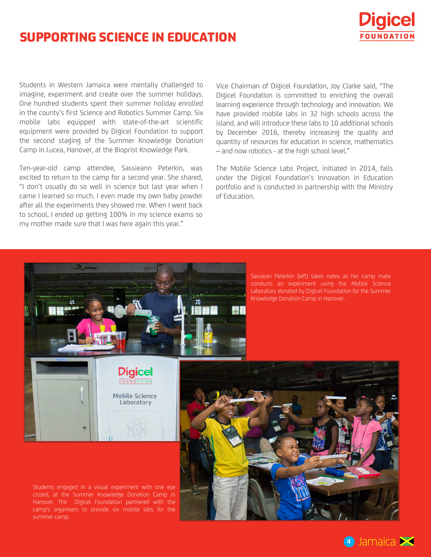### SUPPORTING SCIENCE IN EDUCATION



Students in Western Jamaica were mentally challenged to imagine, experiment and create over the summer holidays. One hundred students spent their summer holiday enrolled in the county's first Science and Robotics Summer Camp. Six mobile labs equipped with state-of-the-art scientific equipment were provided by Digicel Foundation to support the second staging of the Summer Knowledge Donation Camp in Lucea, Hanover, at the Bioprist Knowledge Park.

Ten-year-old camp attendee, Sassieann Peterkin, was excited to return to the camp for a second year. She shared, "I don't usually do so well in science but last year when I came I learned so much. I even made my own baby powder after all the experiments they showed me. When I went back to school, I ended up getting 100% in my science exams so my mother made sure that I was here again this year."

Vice Chairman of Digicel Foundation, Joy Clarke said, "The Digicel Foundation is committed to enriching the overall learning experience through technology and innovation. We have provided mobile labs in 32 high schools across the island, and will introduce these labs to 10 additional schools by December 2016, thereby increasing the quality and quantity of resources for education in science, mathematics – and now robotics - at the high school level."

The Mobile Science Labs Project, initiated in 2014, falls under the Digicel Foundation's Innovation in Education portfolio and is conducted in partnership with the Ministry of Education.



Sassiean Peterkin (left) takes notes as her camp mate conducts an experiment using the Mobile Science Laboratory donated by Digicel Foundation for the Summer Knowledge Donation Camp in Hanover.



Students engaged in a visual experiment with one eye closed, at the Summer Knowledge Donation Camp in Hanover. The Digicel Foundation partnered with the camp's organisers to provide six mobile labs for the



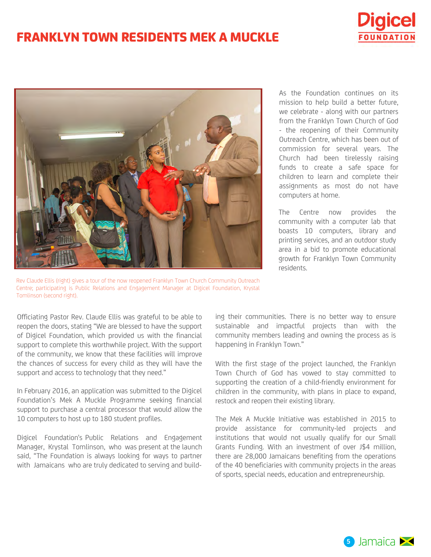### **FRANKLYN TOWN RESIDENTS MEK A MUCKLE**





Rev Claude Ellis (right) gives a tour of the now reopened Franklyn Town Church Community Outreach Centre; participating is Public Relations and Engagement Manager at Digicel Foundation, Krystal Tomlinson (second right).

As the Foundation continues on its mission to help build a better future, we celebrate - along with our partners from the Franklyn Town Church of God - the reopening of their Community Outreach Centre, which has been out of commission for several years. The Church had been tirelessly raising funds to create a safe space for children to learn and complete their assignments as most do not have computers at home.

The Centre now provides the community with a computer lab that boasts 10 computers, library and printing services, and an outdoor study area in a bid to promote educational growth for Franklyn Town Community residents.

Officiating Pastor Rev. Claude Ellis was grateful to be able to reopen the doors, stating "We are blessed to have the support of Digicel Foundation, which provided us with the financial support to complete this worthwhile project. With the support of the community, we know that these facilities will improve the chances of success for every child as they will have the support and access to technology that they need."

In February 2016, an application was submitted to the Digicel Foundation's Mek A Muckle Programme seeking financial support to purchase a central processor that would allow the 10 computers to host up to 180 student profiles.

Digicel Foundation's Public Relations and Engagement Manager, Krystal Tomlinson, who was present at the launch said, "The Foundation is always looking for ways to partner with Jamaicans who are truly dedicated to serving and building their communities. There is no better way to ensure sustainable and impactful projects than with the community members leading and owning the process as is happening in Franklyn Town."

With the first stage of the project launched, the Franklyn Town Church of God has vowed to stay committed to supporting the creation of a child-friendly environment for children in the community, with plans in place to expand, restock and reopen their existing library.

The Mek A Muckle Initiative was established in 2015 to provide assistance for community-led projects and institutions that would not usually qualify for our Small Grants Funding. With an investment of over J\$4 milli[on,](https://www.facebook.com/Respectjamaica/)  there are 28,000 Jamaicans benefiting from the operations of the 40 beneficiaries with community projects in the areas of sports, special needs, education and entrepreneurship.